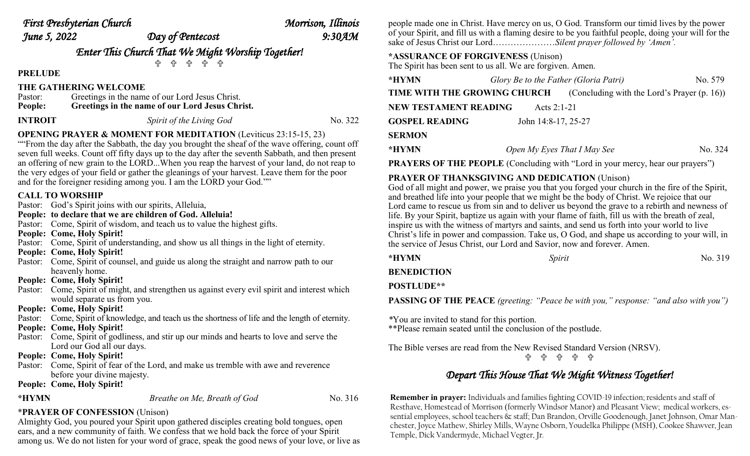| First Presbyterian Church |  |  |
|---------------------------|--|--|
|---------------------------|--|--|

| First Presbyterian Church |                  | Morrison, Illinois |
|---------------------------|------------------|--------------------|
| June 5, 2022              | Day of Pentecost | $9:30$ AM          |
|                           |                  |                    |

*Enter This Church That We Might Worship Together!* 유 유 유 유

**PRELUDE** 

### **THE GATHERING WELCOME**

| Pastor: | Greetings in the name of our Lord Jesus Christ. |
|---------|-------------------------------------------------|
| People: | Greetings in the name of our Lord Jesus Christ. |

```
INTROIT Spirit of the Living God No. 322
```
## **OPENING PRAYER & MOMENT FOR MEDITATION** (Leviticus 23:15-15, 23)

""From the day after the Sabbath, the day you brought the sheaf of the wave offering, count off seven full weeks. Count off fifty days up to the day after the seventh Sabbath, and then present an offering of new grain to the LORD...When you reap the harvest of your land, do not reap to the very edges of your field or gather the gleanings of your harvest. Leave them for the poor and for the foreigner residing among you. I am the LORD your God.""

### **CALL TO WORSHIP**

- Pastor: God's Spirit joins with our spirits, Alleluia,
- **People: to declare that we are children of God. Alleluia!**
- Pastor: Come, Spirit of wisdom, and teach us to value the highest gifts.
- **People: Come, Holy Spirit!**
- Pastor: Come, Spirit of understanding, and show us all things in the light of eternity.
- **People: Come, Holy Spirit!**
- Pastor: Come, Spirit of counsel, and guide us along the straight and narrow path to our heavenly home.
- **People: Come, Holy Spirit!**
- Pastor: Come, Spirit of might, and strengthen us against every evil spirit and interest which would separate us from you.
- **People: Come, Holy Spirit!**
- Pastor: Come, Spirit of knowledge, and teach us the shortness of life and the length of eternity.
- **People: Come, Holy Spirit!**
- Pastor: Come, Spirit of godliness, and stir up our minds and hearts to love and serve the Lord our God all our days.
- **People: Come, Holy Spirit!**
- Pastor: Come, Spirit of fear of the Lord, and make us tremble with awe and reverence before your divine majesty.
- **People: Come, Holy Spirit!**

```
*HYMN Breathe on Me, Breath of God No. 316
```
## \***PRAYER OF CONFESSION** (Unison)

Almighty God, you poured your Spirit upon gathered disciples creating bold tongues, open ears, and a new community of faith. We confess that we hold back the force of your Spirit among us. We do not listen for your word of grace, speak the good news of your love, or live as people made one in Christ. Have mercy on us, O God. Transform our timid lives by the power of your Spirit, and fill us with a flaming desire to be you faithful people, doing your will for the sake of Jesus Christ our Lord…………………*Silent prayer followed by 'Amen'.* 

## **\*ASSURANCE OF FORGIVENESS** (Unison)

The Spirit has been sent to us all. We are forgiven. Amen.

| *HYMN                                | Glory Be to the Father (Gloria Patri) |                                                | No. 579 |  |
|--------------------------------------|---------------------------------------|------------------------------------------------|---------|--|
| TIME WITH THE GROWING CHURCH         |                                       | (Concluding with the Lord's Prayer $(p. 16)$ ) |         |  |
| NEW TESTAMENT READING<br>Acts 2:1-21 |                                       |                                                |         |  |
| <b>GOSPEL READING</b>                | John 14:8-17, 25-27                   |                                                |         |  |
| <b>SERMON</b>                        |                                       |                                                |         |  |
| *HYMN                                | Open My Eyes That I May See           |                                                | No. 324 |  |

**PRAYERS OF THE PEOPLE** (Concluding with "Lord in your mercy, hear our prayers")

## **PRAYER OF THANKSGIVING AND DEDICATION** (Unison)

God of all might and power, we praise you that you forged your church in the fire of the Spirit, and breathed life into your people that we might be the body of Christ. We rejoice that our Lord came to rescue us from sin and to deliver us beyond the grave to a rebirth and newness of life. By your Spirit, baptize us again with your flame of faith, fill us with the breath of zeal, inspire us with the witness of martyrs and saints, and send us forth into your world to live Christ's life in power and compassion. Take us, O God, and shape us according to your will, in the service of Jesus Christ, our Lord and Savior, now and forever. Amen.

| *HYMN | Spirit | No. 319 |
|-------|--------|---------|
|       |        |         |

## **BENEDICTION**

**POSTLUDE\*\***

**PASSING OF THE PEACE** *(greeting: "Peace be with you," response: "and also with you")*

*\**You are invited to stand for this portion. \*\*Please remain seated until the conclusion of the postlude.

The Bible verses are read from the New Revised Standard Version (NRSV).

유 유 유 유

## *Depart This House That We Might Witness Together!*

**Remember in prayer:** Individuals and families fighting COVID-19 infection; residents and staff of Resthave, Homestead of Morrison (formerly Windsor Manor) and Pleasant View; medical workers, essential employees, school teachers & staff; Dan Brandon, Orville Goodenough, Janet Johnson, Omar Manchester, Joyce Mathew, Shirley Mills, Wayne Osborn, Youdelka Philippe (MSH), Cookee Shawver, Jean Temple, Dick Vandermyde, Michael Vegter, Jr.